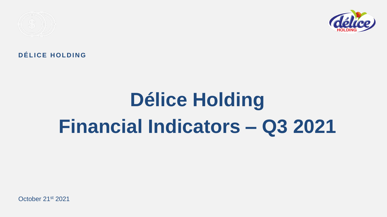

### DÉLICE HOLDING

# **Délice Holding Financial Indicators – Q3 2021**

October 21st 2021

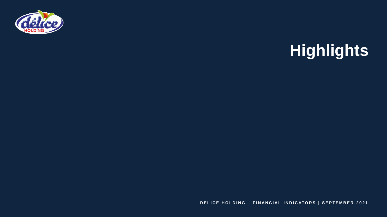

**DELICE HOLDING - FINANCIAL INDICATORS | SEPTEMBER 2021** 

# **Highlights**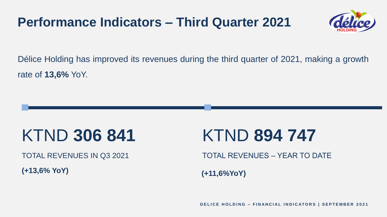Délice Holding has improved its revenues during the third quarter of 2021, making a growth rate of **13,6%** YoY.

TOTAL REVENUES IN Q3 2021

## KTND **306 841**

**(+13,6% YoY)**

# TOTAL REVENUES – YEAR TO DATE KTND **894 747**

**(+11,6%YoY)**

**DELICE HOLDING - FINANCIAL INDICATORS | SEPTEMBER 2021** 





### **Performance Indicators – Third Quarter 2021**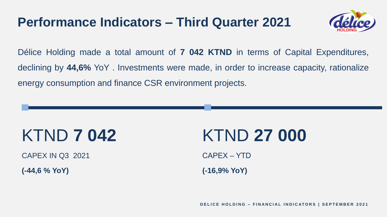Délice Holding made a total amount of **7 042 KTND** in terms of Capital Expenditures, declining by **44,6%** YoY . Investments were made, in order to increase capacity, rationalize energy consumption and finance CSR environment projects.

CAPEX IN Q3 2021

# KTND **7 042**

**(-44,6 % YoY)**

# KTND **27 000**

CAPEX – YTD **(-16,9% YoY)**

**DELICE HOLDING - FINANCIAL INDICATORS | SEPTEMBER 2021** 





- 
- 

### **Performance Indicators – Third Quarter 2021**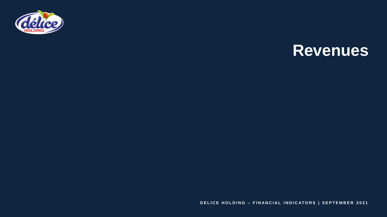

**DELICE HOLDING - FINANCIAL INDICATORS | SEPTEMBER 2021** 

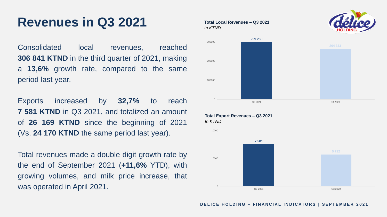Consolidated local revenues, reached **306 841 KTND** in the third quarter of 2021, making a **13,6%** growth rate, compared to the same period last year.

Exports increased by **32,7%** to reach **7 581 KTND** in Q3 2021, and totalized an amount of **26 169 KTND** since the beginning of 2021 (Vs. **24 170 KTND** the same period last year).

Total revenues made a double digit growth rate by the end of September 2021 (**+11,6%** YTD), with growing volumes, and milk price increase, that was operated in April 2021.

### Revenues in Q3 2021 **Total Local Revenues – Q3 2021**

### *In KTND*

**Total Export Revenues – Q3 2021** *In KTND*



0

### **DELICE HOLDING - FINANCIAL INDICATORS | SEPTEMBER 2021**

5000









10000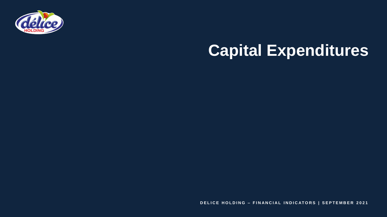

# **Capital Expenditures**

**DELICE HOLDING - FINANCIAL INDICATORS | SEPTEMBER 2021**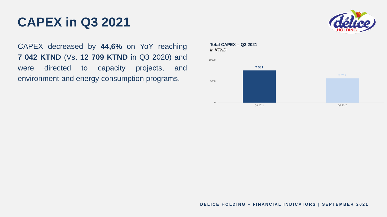CAPEX decreased by **44,6%** on YoY reaching **7 042 KTND** (Vs. **12 709 KTND** in Q3 2020) and were directed to capacity projects, and environment and energy consumption programs.

### **CAPEX in Q3 2021**

**Total CAPEX – Q3 2021** *In KTND*

0



5000



### **DELICE HOLDING - FINANCIAL INDICATORS | SEPTEMBER 2021**

10000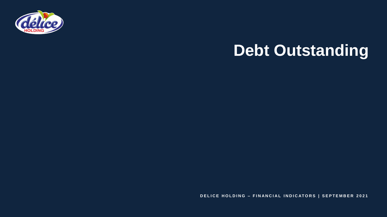



**DELICE HOLDING - FINANCIAL INDICATORS | SEPTEMBER 2021** 

# **Debt Outstanding**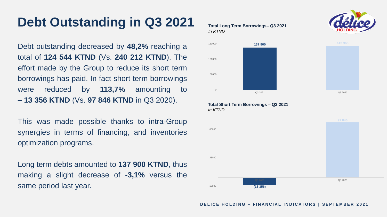Debt outstanding decreased by **48,2%** reaching a total of **124 544 KTND** (Vs. **240 212 KTND**). The effort made by the Group to reduce its short term borrowings has paid. In fact short term borrowings were reduced by **113,7%** amounting to **– 13 356 KTND** (Vs. **97 846 KTND** in Q3 2020).

This was made possible thanks to intra-Group synergies in terms of financing, and inventories optimization programs.

Long term debts amounted to **137 900 KTND**, thus making a slight decrease of **-3,1%** versus the same period last year.

### **Debt Outstanding in Q3 2021 Total Long Term Borrowings– Q3 2021**

### *In KTND*

### **Total Short Term Borrowings – Q3 2021**

*In KTND*



| 150000   |  |
|----------|--|
| 100000   |  |
| 50000    |  |
| $\Omega$ |  |

-15000





### **DELICE HOLDING - FINANCIAL INDICATORS | SEPTEMBER 2021**

35000

85000